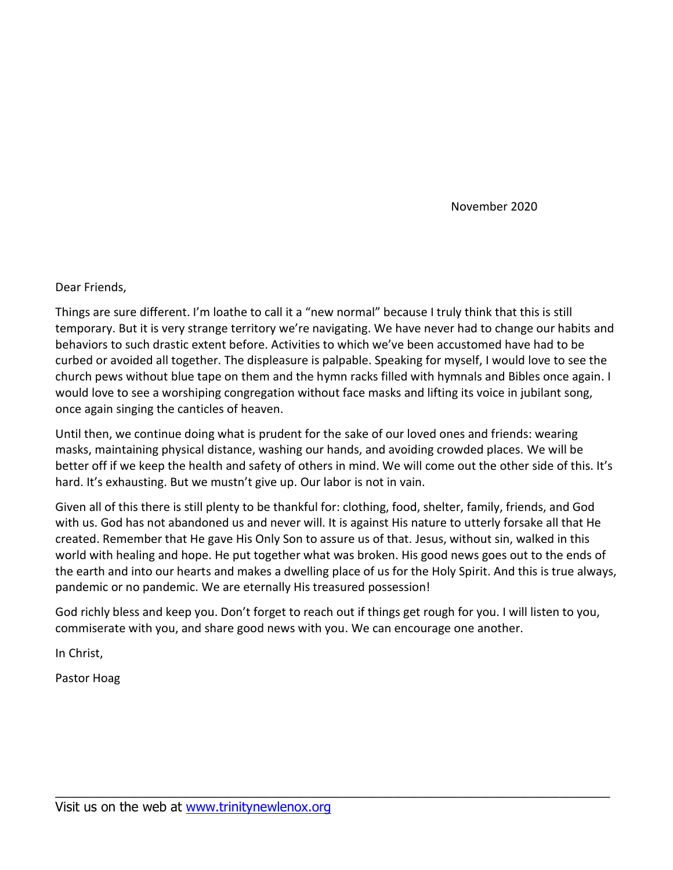November 2020

#### Dear Friends,

Things are sure different. I'm loathe to call it a "new normal" because I truly think that this is still temporary. But it is very strange territory we're navigating. We have never had to change our habits and behaviors to such drastic extent before. Activities to which we've been accustomed have had to be curbed or avoided all together. The displeasure is palpable. Speaking for myself, I would love to see the church pews without blue tape on them and the hymn racks filled with hymnals and Bibles once again. I would love to see a worshiping congregation without face masks and lifting its voice in jubilant song, once again singing the canticles of heaven.

Until then, we continue doing what is prudent for the sake of our loved ones and friends: wearing masks, maintaining physical distance, washing our hands, and avoiding crowded places. We will be better off if we keep the health and safety of others in mind. We will come out the other side of this. It's hard. It's exhausting. But we mustn't give up. Our labor is not in vain.

Given all of this there is still plenty to be thankful for: clothing, food, shelter, family, friends, and God with us. God has not abandoned us and never will. It is against His nature to utterly forsake all that He created. Remember that He gave His Only Son to assure us of that. Jesus, without sin, walked in this world with healing and hope. He put together what was broken. His good news goes out to the ends of the earth and into our hearts and makes a dwelling place of us for the Holy Spirit. And this is true always, pandemic or no pandemic. We are eternally His treasured possession!

God richly bless and keep you. Don't forget to reach out if things get rough for you. I will listen to you, commiserate with you, and share good news with you. We can encourage one another.

\_\_\_\_\_\_\_\_\_\_\_\_\_\_\_\_\_\_\_\_\_\_\_\_\_\_\_\_\_\_\_\_\_\_\_\_\_\_\_\_\_\_\_\_\_\_\_\_\_\_\_\_\_\_\_\_\_\_\_\_\_\_\_\_\_\_\_\_\_\_\_\_\_\_\_\_\_

In Christ,

Pastor Hoag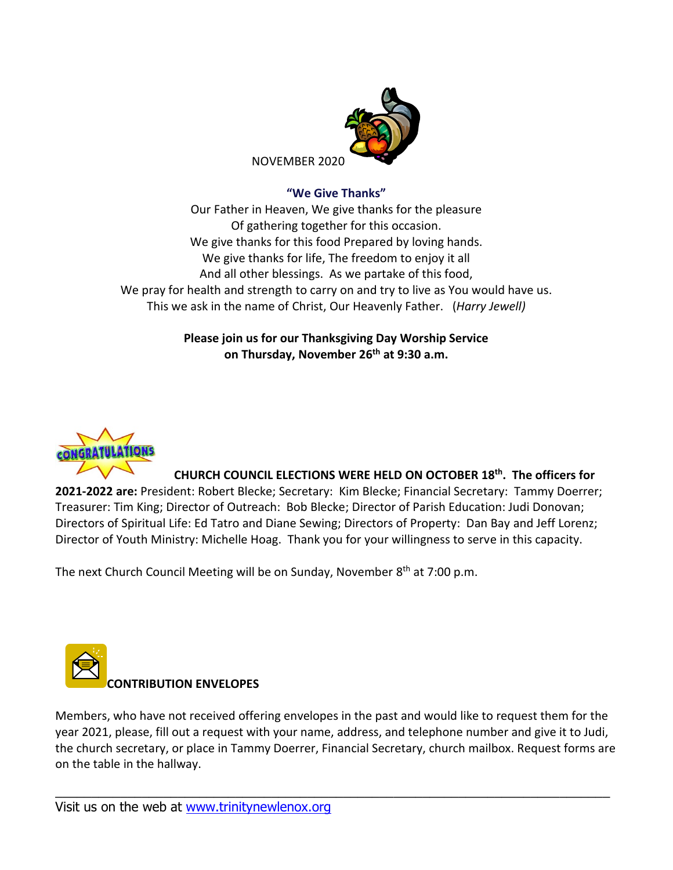

## **"We Give Thanks"**

Our Father in Heaven, We give thanks for the pleasure Of gathering together for this occasion. We give thanks for this food Prepared by loving hands. We give thanks for life, The freedom to enjoy it all And all other blessings. As we partake of this food, We pray for health and strength to carry on and try to live as You would have us. This we ask in the name of Christ, Our Heavenly Father. (*Harry Jewell)*

## **Please join us for our Thanksgiving Day Worship Service on Thursday, November 26 th at 9:30 a.m.**



### **CHURCH COUNCIL ELECTIONS WERE HELD ON OCTOBER 18 th . The officers for**

**2021-2022 are:** President: Robert Blecke; Secretary: Kim Blecke; Financial Secretary: Tammy Doerrer; Treasurer: Tim King; Director of Outreach: Bob Blecke; Director of Parish Education: Judi Donovan; Directors of Spiritual Life: Ed Tatro and Diane Sewing; Directors of Property: Dan Bay and Jeff Lorenz; Director of Youth Ministry: Michelle Hoag. Thank you for your willingness to serve in this capacity.

The next Church Council Meeting will be on Sunday, November 8<sup>th</sup> at 7:00 p.m.



Members, who have not received offering envelopes in the past and would like to request them for the year 2021, please, fill out a request with your name, address, and telephone number and give it to Judi, the church secretary, or place in Tammy Doerrer, Financial Secretary, church mailbox. Request forms are on the table in the hallway.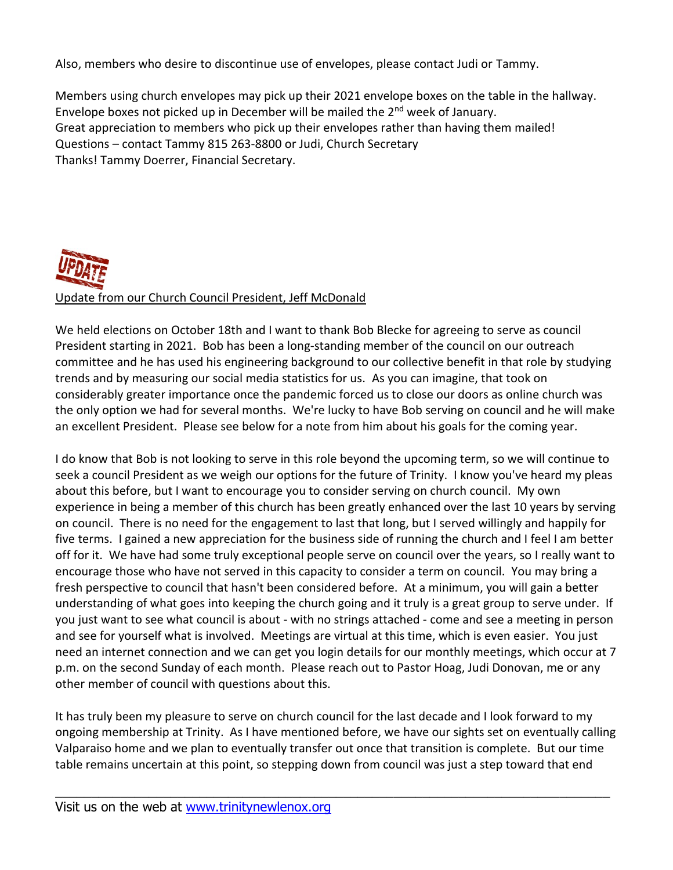Also, members who desire to discontinue use of envelopes, please contact Judi or Tammy.

Members using church envelopes may pick up their 2021 envelope boxes on the table in the hallway. Envelope boxes not picked up in December will be mailed the  $2<sup>nd</sup>$  week of January. Great appreciation to members who pick up their envelopes rather than having them mailed! Questions – contact Tammy 815 263-8800 or Judi, Church Secretary Thanks! Tammy Doerrer, Financial Secretary.



We held elections on October 18th and I want to thank Bob Blecke for agreeing to serve as council President starting in 2021. Bob has been a long-standing member of the council on our outreach committee and he has used his engineering background to our collective benefit in that role by studying trends and by measuring our social media statistics for us. As you can imagine, that took on considerably greater importance once the pandemic forced us to close our doors as online church was the only option we had for several months. We're lucky to have Bob serving on council and he will make an excellent President. Please see below for a note from him about his goals for the coming year.

I do know that Bob is not looking to serve in this role beyond the upcoming term, so we will continue to seek a council President as we weigh our options for the future of Trinity. I know you've heard my pleas about this before, but I want to encourage you to consider serving on church council. My own experience in being a member of this church has been greatly enhanced over the last 10 years by serving on council. There is no need for the engagement to last that long, but I served willingly and happily for five terms. I gained a new appreciation for the business side of running the church and I feel I am better off for it. We have had some truly exceptional people serve on council over the years, so I really want to encourage those who have not served in this capacity to consider a term on council. You may bring a fresh perspective to council that hasn't been considered before. At a minimum, you will gain a better understanding of what goes into keeping the church going and it truly is a great group to serve under. If you just want to see what council is about - with no strings attached - come and see a meeting in person and see for yourself what is involved. Meetings are virtual at this time, which is even easier. You just need an internet connection and we can get you login details for our monthly meetings, which occur at 7 p.m. on the second Sunday of each month. Please reach out to Pastor Hoag, Judi Donovan, me or any other member of council with questions about this.

It has truly been my pleasure to serve on church council for the last decade and I look forward to my ongoing membership at Trinity. As I have mentioned before, we have our sights set on eventually calling Valparaiso home and we plan to eventually transfer out once that transition is complete. But our time table remains uncertain at this point, so stepping down from council was just a step toward that end

\_\_\_\_\_\_\_\_\_\_\_\_\_\_\_\_\_\_\_\_\_\_\_\_\_\_\_\_\_\_\_\_\_\_\_\_\_\_\_\_\_\_\_\_\_\_\_\_\_\_\_\_\_\_\_\_\_\_\_\_\_\_\_\_\_\_\_\_\_\_\_\_\_\_\_\_\_

Visit us on the web at [www.trinitynewlenox.org](http://www.trinitynewlenox.org/)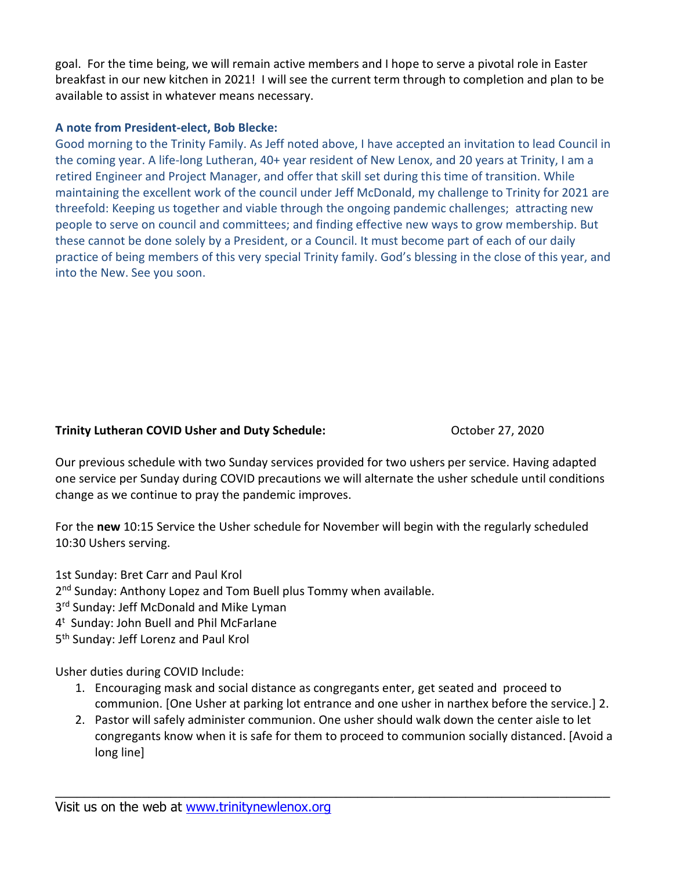goal. For the time being, we will remain active members and I hope to serve a pivotal role in Easter breakfast in our new kitchen in 2021! I will see the current term through to completion and plan to be available to assist in whatever means necessary.

### **A note from President-elect, Bob Blecke:**

Good morning to the Trinity Family. As Jeff noted above, I have accepted an invitation to lead Council in the coming year. A life-long Lutheran, 40+ year resident of New Lenox, and 20 years at Trinity, I am a retired Engineer and Project Manager, and offer that skill set during this time of transition. While maintaining the excellent work of the council under Jeff McDonald, my challenge to Trinity for 2021 are threefold: Keeping us together and viable through the ongoing pandemic challenges; attracting new people to serve on council and committees; and finding effective new ways to grow membership. But these cannot be done solely by a President, or a Council. It must become part of each of our daily practice of being members of this very special Trinity family. God's blessing in the close of this year, and into the New. See you soon.

### **Trinity Lutheran COVID Usher and Duty Schedule:** October 27, 2020

Our previous schedule with two Sunday services provided for two ushers per service. Having adapted one service per Sunday during COVID precautions we will alternate the usher schedule until conditions change as we continue to pray the pandemic improves.

For the **new** 10:15 Service the Usher schedule for November will begin with the regularly scheduled 10:30 Ushers serving.

1st Sunday: Bret Carr and Paul Krol

2<sup>nd</sup> Sunday: Anthony Lopez and Tom Buell plus Tommy when available.

- 3<sup>rd</sup> Sunday: Jeff McDonald and Mike Lyman
- 4 <sup>t</sup> Sunday: John Buell and Phil McFarlane

5<sup>th</sup> Sunday: Jeff Lorenz and Paul Krol

Usher duties during COVID Include:

- 1. Encouraging mask and social distance as congregants enter, get seated and proceed to communion. [One Usher at parking lot entrance and one usher in narthex before the service.] 2.
- 2. Pastor will safely administer communion. One usher should walk down the center aisle to let congregants know when it is safe for them to proceed to communion socially distanced. [Avoid a long line]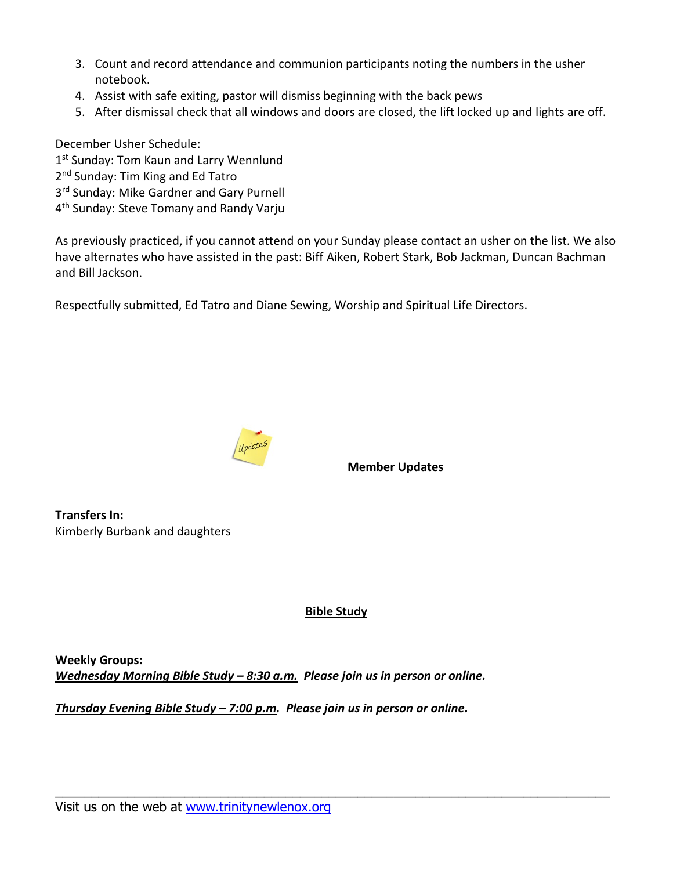- 3. Count and record attendance and communion participants noting the numbers in the usher notebook.
- 4. Assist with safe exiting, pastor will dismiss beginning with the back pews
- 5. After dismissal check that all windows and doors are closed, the lift locked up and lights are off.

December Usher Schedule:

- 1st Sunday: Tom Kaun and Larry Wennlund
- 2<sup>nd</sup> Sunday: Tim King and Ed Tatro
- 3<sup>rd</sup> Sunday: Mike Gardner and Gary Purnell
- 4<sup>th</sup> Sunday: Steve Tomany and Randy Varju

As previously practiced, if you cannot attend on your Sunday please contact an usher on the list. We also have alternates who have assisted in the past: Biff Aiken, Robert Stark, Bob Jackman, Duncan Bachman and Bill Jackson.

Respectfully submitted, Ed Tatro and Diane Sewing, Worship and Spiritual Life Directors.



**Member Updates**

**Transfers In:** Kimberly Burbank and daughters

# **Bible Study**

\_\_\_\_\_\_\_\_\_\_\_\_\_\_\_\_\_\_\_\_\_\_\_\_\_\_\_\_\_\_\_\_\_\_\_\_\_\_\_\_\_\_\_\_\_\_\_\_\_\_\_\_\_\_\_\_\_\_\_\_\_\_\_\_\_\_\_\_\_\_\_\_\_\_\_\_\_

**Weekly Groups:** *Wednesday Morning Bible Study – 8:30 a.m. Please join us in person or online.*

*Thursday Evening Bible Study – 7:00 p.m. Please join us in person or online.*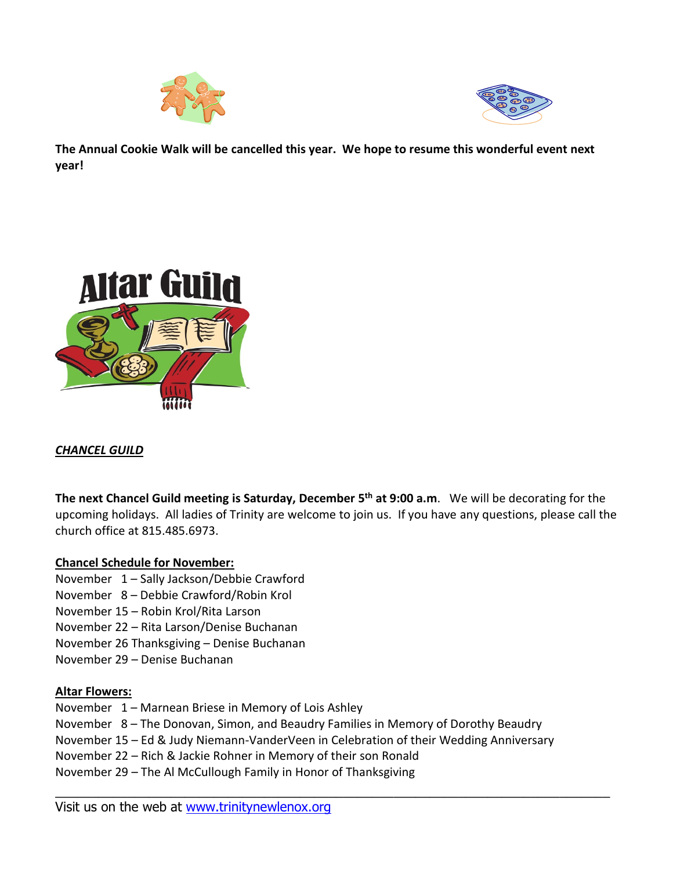



**The Annual Cookie Walk will be cancelled this year. We hope to resume this wonderful event next year!**



# *CHANCEL GUILD*

**The next Chancel Guild meeting is Saturday, December 5 th at 9:00 a.m**. We will be decorating for the upcoming holidays. All ladies of Trinity are welcome to join us. If you have any questions, please call the church office at 815.485.6973.

### **Chancel Schedule for November:**

- November 1 Sally Jackson/Debbie Crawford
- November 8 Debbie Crawford/Robin Krol
- November 15 Robin Krol/Rita Larson
- November 22 Rita Larson/Denise Buchanan
- November 26 Thanksgiving Denise Buchanan
- November 29 Denise Buchanan

### **Altar Flowers:**

- November 1 Marnean Briese in Memory of Lois Ashley
- November 8 The Donovan, Simon, and Beaudry Families in Memory of Dorothy Beaudry
- November 15 Ed & Judy Niemann-VanderVeen in Celebration of their Wedding Anniversary

\_\_\_\_\_\_\_\_\_\_\_\_\_\_\_\_\_\_\_\_\_\_\_\_\_\_\_\_\_\_\_\_\_\_\_\_\_\_\_\_\_\_\_\_\_\_\_\_\_\_\_\_\_\_\_\_\_\_\_\_\_\_\_\_\_\_\_\_\_\_\_\_\_\_\_\_\_

- November 22 Rich & Jackie Rohner in Memory of their son Ronald
- November 29 The Al McCullough Family in Honor of Thanksgiving

Visit us on the web at [www.trinitynewlenox.org](http://www.trinitynewlenox.org/)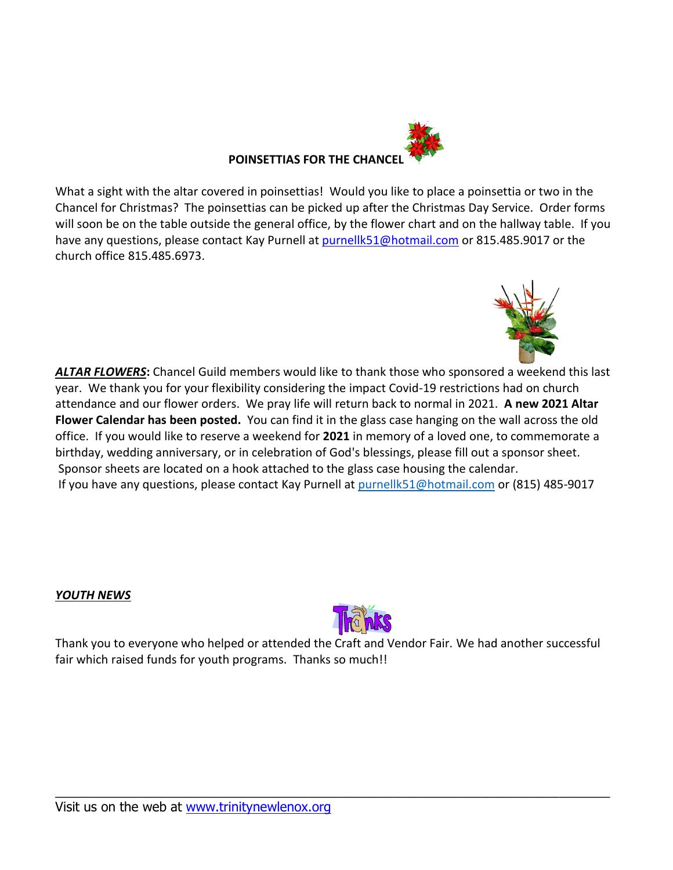

What a sight with the altar covered in poinsettias! Would you like to place a poinsettia or two in the Chancel for Christmas? The poinsettias can be picked up after the Christmas Day Service. Order forms will soon be on the table outside the general office, by the flower chart and on the hallway table. If you have any questions, please contact Kay Purnell at [purnellk51@hotmail.com](mailto:purnellk51@hotmail.com) or 815.485.9017 or the church office 815.485.6973.



*ALTAR FLOWERS***:** Chancel Guild members would like to thank those who sponsored a weekend this last year. We thank you for your flexibility considering the impact Covid-19 restrictions had on church attendance and our flower orders. We pray life will return back to normal in 2021. **A new 2021 Altar Flower Calendar has been posted.** You can find it in the glass case hanging on the wall across the old office. If you would like to reserve a weekend for **2021** in memory of a loved one, to commemorate a birthday, wedding anniversary, or in celebration of God's blessings, please fill out a sponsor sheet. Sponsor sheets are located on a hook attached to the glass case housing the calendar. If you have any questions, please contact Kay Purnell at [purnellk51@hotmail.com](mailto:purnellk51@hotmail.com) or (815) 485-9017

### *YOUTH NEWS*



Thank you to everyone who helped or attended the Craft and Vendor Fair. We had another successful fair which raised funds for youth programs. Thanks so much!!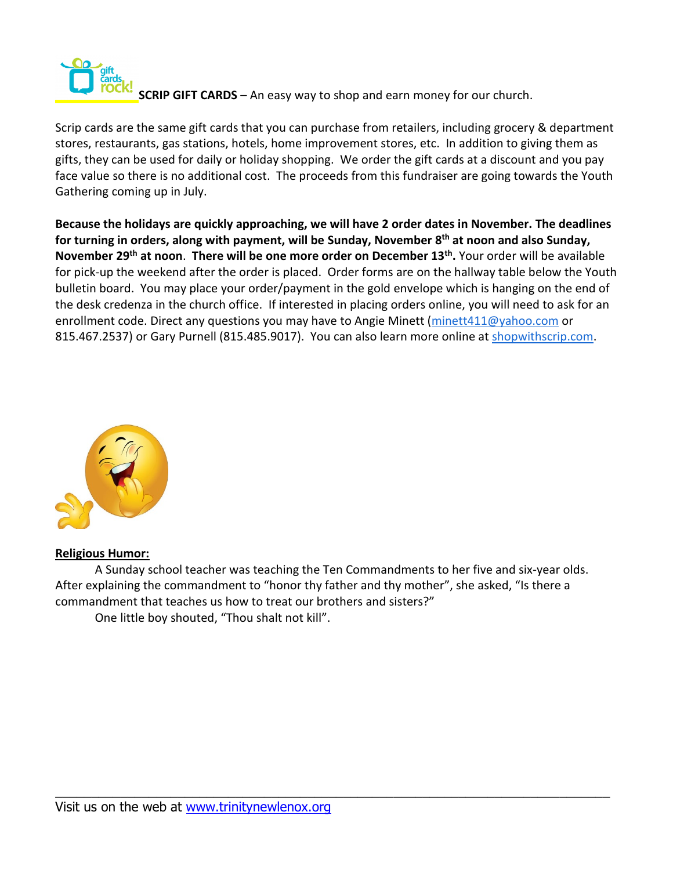

**SCRIP GIFT CARDS** – An easy way to shop and earn money for our church.

Scrip cards are the same gift cards that you can purchase from retailers, including grocery & department stores, restaurants, gas stations, hotels, home improvement stores, etc. In addition to giving them as gifts, they can be used for daily or holiday shopping. We order the gift cards at a discount and you pay face value so there is no additional cost. The proceeds from this fundraiser are going towards the Youth Gathering coming up in July.

**Because the holidays are quickly approaching, we will have 2 order dates in November. The deadlines for turning in orders, along with payment, will be Sunday, November 8 th at noon and also Sunday, November 29th at noon**. **There will be one more order on December 13th .** Your order will be available for pick-up the weekend after the order is placed. Order forms are on the hallway table below the Youth bulletin board. You may place your order/payment in the gold envelope which is hanging on the end of the desk credenza in the church office. If interested in placing orders online, you will need to ask for an enrollment code. Direct any questions you may have to Angie Minett [\(minett411@yahoo.com](mailto:minett411@yahoo.com) or 815.467.2537) or Gary Purnell (815.485.9017). You can also learn more online at [shopwithscrip.com.](http://shopwithscrip.com/)



**Religious Humor:**

A Sunday school teacher was teaching the Ten Commandments to her five and six-year olds. After explaining the commandment to "honor thy father and thy mother", she asked, "Is there a commandment that teaches us how to treat our brothers and sisters?"

\_\_\_\_\_\_\_\_\_\_\_\_\_\_\_\_\_\_\_\_\_\_\_\_\_\_\_\_\_\_\_\_\_\_\_\_\_\_\_\_\_\_\_\_\_\_\_\_\_\_\_\_\_\_\_\_\_\_\_\_\_\_\_\_\_\_\_\_\_\_\_\_\_\_\_\_\_

One little boy shouted, "Thou shalt not kill".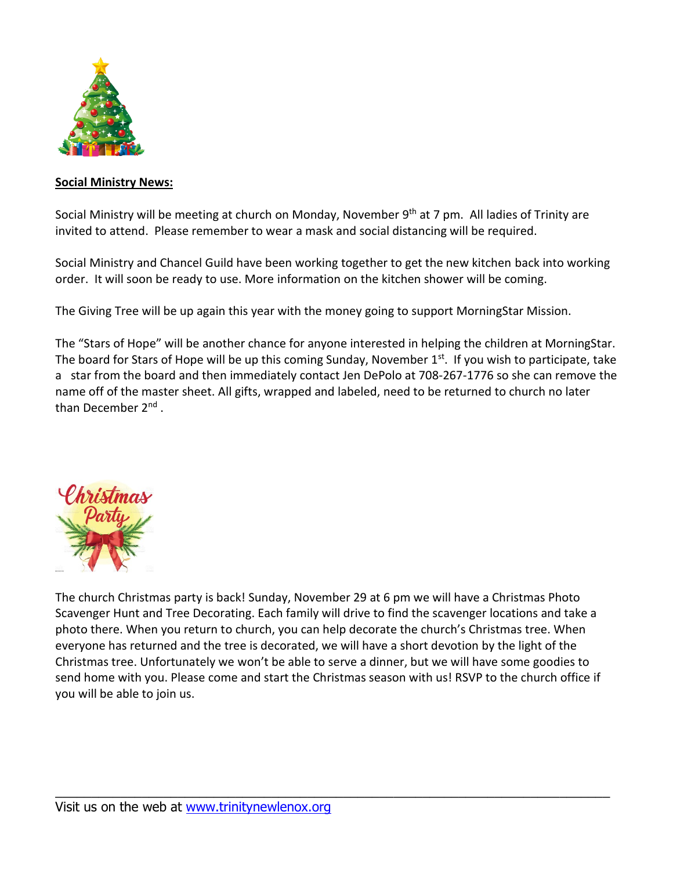

#### **Social Ministry News:**

Social Ministry will be meeting at church on Monday, November 9<sup>th</sup> at 7 pm. All ladies of Trinity are invited to attend. Please remember to wear a mask and social distancing will be required.

Social Ministry and Chancel Guild have been working together to get the new kitchen back into working order. It will soon be ready to use. More information on the kitchen shower will be coming.

The Giving Tree will be up again this year with the money going to support MorningStar Mission.

The "Stars of Hope" will be another chance for anyone interested in helping the children at MorningStar. The board for Stars of Hope will be up this coming Sunday, November 1<sup>st</sup>. If you wish to participate, take a star from the board and then immediately contact Jen DePolo at 708-267-1776 so she can remove the name off of the master sheet. All gifts, wrapped and labeled, need to be returned to church no later than December 2<sup>nd</sup>.



The church Christmas party is back! Sunday, November 29 at 6 pm we will have a Christmas Photo Scavenger Hunt and Tree Decorating. Each family will drive to find the scavenger locations and take a photo there. When you return to church, you can help decorate the church's Christmas tree. When everyone has returned and the tree is decorated, we will have a short devotion by the light of the Christmas tree. Unfortunately we won't be able to serve a dinner, but we will have some goodies to send home with you. Please come and start the Christmas season with us! RSVP to the church office if you will be able to join us.